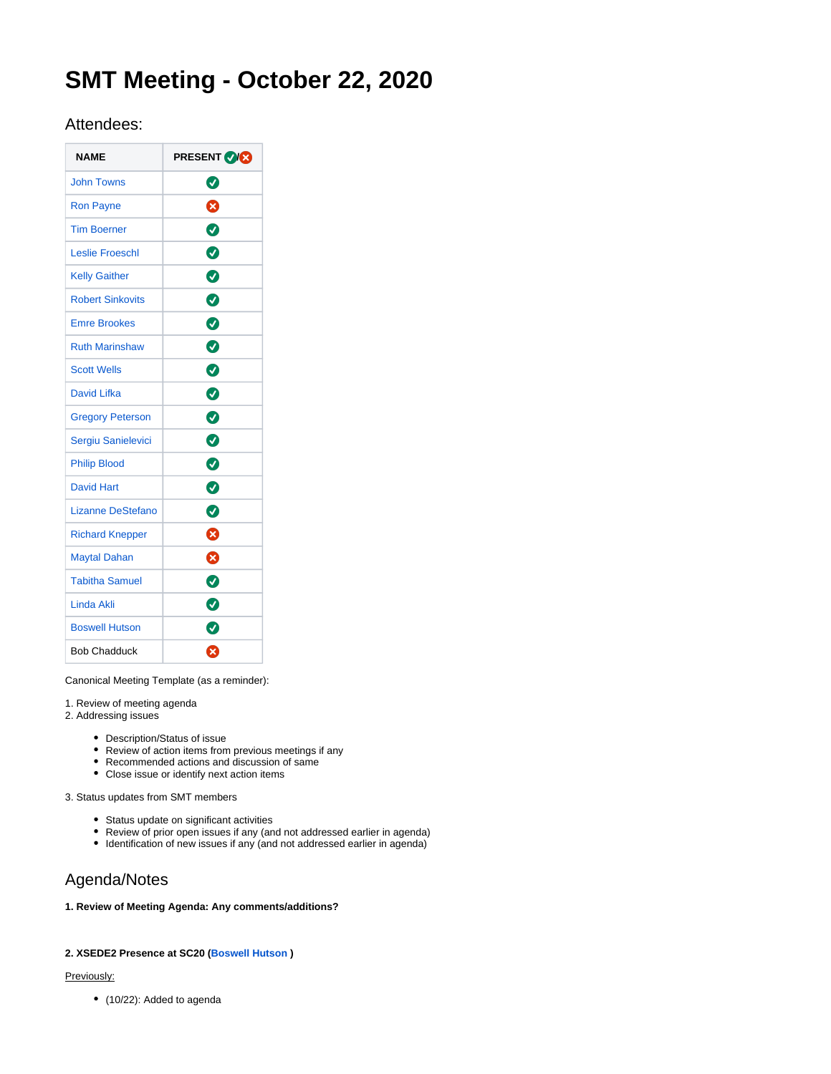# **SMT Meeting - October 22, 2020**

## Attendees:

| <b>NAME</b>              | <b>PRESENT VICE</b> |
|--------------------------|---------------------|
| <b>John Towns</b>        | ◙                   |
| <b>Ron Payne</b>         | ظ                   |
| <b>Tim Boerner</b>       | Ø                   |
| <b>Leslie Froeschl</b>   | ◙                   |
| <b>Kelly Gaither</b>     | ◙                   |
| <b>Robert Sinkovits</b>  | ◙                   |
| <b>Emre Brookes</b>      | Ø                   |
| <b>Ruth Marinshaw</b>    | Ø                   |
| <b>Scott Wells</b>       | 0                   |
| <b>David Lifka</b>       | ◙                   |
| <b>Gregory Peterson</b>  | Ø                   |
| Sergiu Sanielevici       | 0                   |
| <b>Philip Blood</b>      | 0                   |
| <b>David Hart</b>        | Ø                   |
| <b>Lizanne DeStefano</b> | ◙                   |
| <b>Richard Knepper</b>   | ظ                   |
| <b>Maytal Dahan</b>      | ೞ                   |
| <b>Tabitha Samuel</b>    | ◙                   |
| Linda Akli               | ◙                   |
| <b>Boswell Hutson</b>    | Ø                   |
| <b>Bob Chadduck</b>      | Ø                   |

Canonical Meeting Template (as a reminder):

1. Review of meeting agenda

2. Addressing issues

- Description/Status of issue
- Review of action items from previous meetings if any
- Recommended actions and discussion of same
- Close issue or identify next action items

3. Status updates from SMT members

- Status update on significant activities
- Review of prior open issues if any (and not addressed earlier in agenda)
- Identification of new issues if any (and not addressed earlier in agenda)

# Agenda/Notes

### **1. Review of Meeting Agenda: Any comments/additions?**

### **2. XSEDE2 Presence at SC20 ([Boswell Hutson](https://confluence.xsede.org/display/~hutson2) )**

#### Previously:

• (10/22): Added to agenda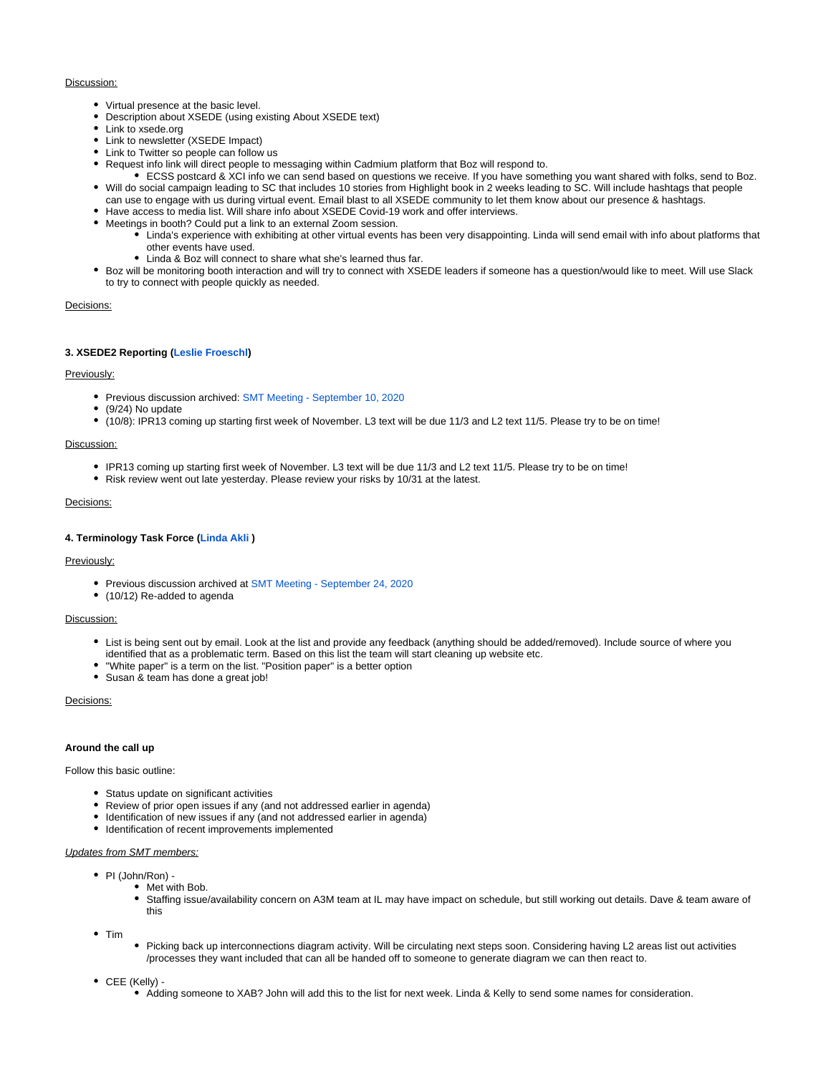#### Discussion:

- Virtual presence at the basic level.
- Description about XSEDE (using existing About XSEDE text)
- Link to xsede.org
- Link to newsletter (XSEDE Impact)
- Link to Twitter so people can follow us
- Request info link will direct people to messaging within Cadmium platform that Boz will respond to.
- ECSS postcard & XCI info we can send based on questions we receive. If you have something you want shared with folks, send to Boz. Will do social campaign leading to SC that includes 10 stories from Highlight book in 2 weeks leading to SC. Will include hashtags that people
- can use to engage with us during virtual event. Email blast to all XSEDE community to let them know about our presence & hashtags.
- Have access to media list. Will share info about XSEDE Covid-19 work and offer interviews.
- Meetings in booth? Could put a link to an external Zoom session.
	- Linda's experience with exhibiting at other virtual events has been very disappointing. Linda will send email with info about platforms that other events have used.
	- Linda & Boz will connect to share what she's learned thus far.
- Boz will be monitoring booth interaction and will try to connect with XSEDE leaders if someone has a question/would like to meet. Will use Slack to try to connect with people quickly as needed.

#### Decisions:

#### **3. XSEDE2 Reporting [\(Leslie Froeschl\)](https://confluence.xsede.org/display/~lfroesch)**

#### Previously:

- **Previous discussion archived: [SMT Meeting September 10, 2020](https://confluence.xsede.org/display/XT/SMT+Meeting+-+September+10%2C+2020)**
- (9/24) No update
- (10/8): IPR13 coming up starting first week of November. L3 text will be due 11/3 and L2 text 11/5. Please try to be on time!

#### Discussion:

- IPR13 coming up starting first week of November. L3 text will be due 11/3 and L2 text 11/5. Please try to be on time!
- Risk review went out late yesterday. Please review your risks by 10/31 at the latest.

#### Decisions:

#### **4. Terminology Task Force ([Linda Akli](https://confluence.xsede.org/display/~lakli) )**

#### Previously:

- Previous discussion archived at [SMT Meeting September 24, 2020](https://confluence.xsede.org/display/XT/SMT+Meeting+-+September+24%2C+2020)
- (10/12) Re-added to agenda

#### Discussion:

- List is being sent out by email. Look at the list and provide any feedback (anything should be added/removed). Include source of where you identified that as a problematic term. Based on this list the team will start cleaning up website etc.
- "White paper" is a term on the list. "Position paper" is a better option
- Susan & team has done a great job!

#### Decisions:

#### **Around the call up**

Follow this basic outline:

- Status update on significant activities
- Review of prior open issues if any (and not addressed earlier in agenda)
- Identification of new issues if any (and not addressed earlier in agenda)
- $\bullet$  Identification of recent improvements implemented

#### Updates from SMT members:

- PI (John/Ron) -
	- Met with Bob.
		- Staffing issue/availability concern on A3M team at IL may have impact on schedule, but still working out details. Dave & team aware of this

 $•$  Tim

- Picking back up interconnections diagram activity. Will be circulating next steps soon. Considering having L2 areas list out activities /processes they want included that can all be handed off to someone to generate diagram we can then react to.
- CEE (Kelly)
	- Adding someone to XAB? John will add this to the list for next week. Linda & Kelly to send some names for consideration.